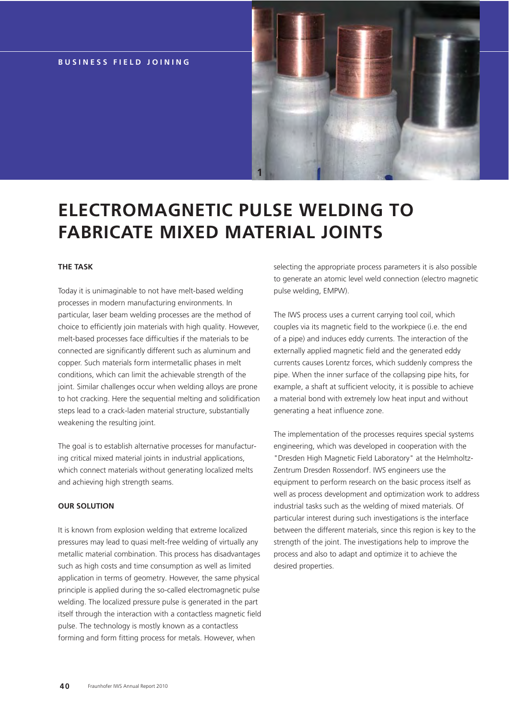# **BUSINESS FIELD JOINING**



# **ELECTROMAGNETIC PULSE WELDING TO FABRICATE MIXED MATERIAL JOINTS**

## **THE TASK**

Today it is unimaginable to not have melt-based welding processes in modern manufacturing environments. In particular, laser beam welding processes are the method of choice to efficiently join materials with high quality. However, melt-based processes face difficulties if the materials to be connected are significantly different such as aluminum and copper. Such materials form intermetallic phases in melt conditions, which can limit the achievable strength of the joint. Similar challenges occur when welding alloys are prone to hot cracking. Here the sequential melting and solidification steps lead to a crack-laden material structure, substantially weakening the resulting joint.

The goal is to establish alternative processes for manufacturing critical mixed material joints in industrial applications, which connect materials without generating localized melts and achieving high strength seams.

#### **OUR SOLUTION**

It is known from explosion welding that extreme localized pressures may lead to quasi melt-free welding of virtually any metallic material combination. This process has disadvantages such as high costs and time consumption as well as limited application in terms of geometry. However, the same physical principle is applied during the so-called electromagnetic pulse welding. The localized pressure pulse is generated in the part itself through the interaction with a contactless magnetic field pulse. The technology is mostly known as a contactless forming and form fitting process for metals. However, when

selecting the appropriate process parameters it is also possible to generate an atomic level weld connection (electro magnetic pulse welding, EMPW).

The IWS process uses a current carrying tool coil, which couples via its magnetic field to the workpiece (i.e. the end of a pipe) and induces eddy currents. The interaction of the externally applied magnetic field and the generated eddy currents causes Lorentz forces, which suddenly compress the pipe. When the inner surface of the collapsing pipe hits, for example, a shaft at sufficient velocity, it is possible to achieve a material bond with extremely low heat input and without generating a heat influence zone.

The implementation of the processes requires special systems engineering, which was developed in cooperation with the "Dresden High Magnetic Field Laboratory" at the Helmholtz-Zentrum Dresden Rossendorf. IWS engineers use the equipment to perform research on the basic process itself as well as process development and optimization work to address industrial tasks such as the welding of mixed materials. Of particular interest during such investigations is the interface between the different materials, since this region is key to the strength of the joint. The investigations help to improve the process and also to adapt and optimize it to achieve the desired properties.